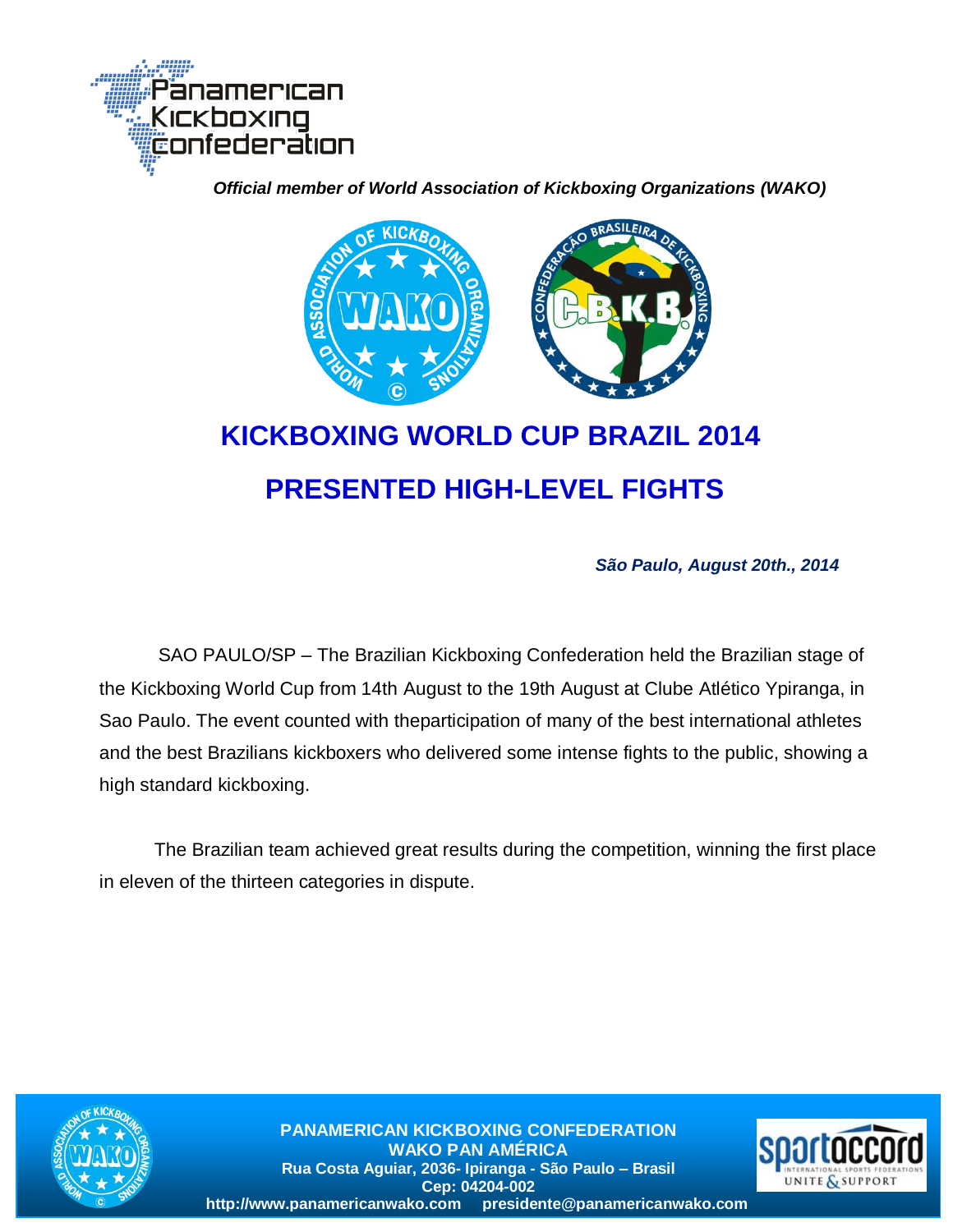

 *Official member of World Association of Kickboxing Organizations (WAKO)*



# **KICKBOXING WORLD CUP BRAZIL 2014 PRESENTED HIGH-LEVEL FIGHTS**

*São Paulo, August 20th., 2014*

SAO PAULO/SP – The Brazilian Kickboxing Confederation held the Brazilian stage of the Kickboxing World Cup from 14th August to the 19th August at Clube Atlético Ypiranga, in Sao Paulo. The event counted with theparticipation of many of the best international athletes and the best Brazilians kickboxers who delivered some intense fights to the public, showing a high standard kickboxing.

The Brazilian team achieved great results during the competition, winning the first place in eleven of the thirteen categories in dispute.



**PANAMERICAN KICKBOXING CONFEDERATION WAKO PAN AMÉRICA Rua Costa Aguiar, 2036- Ipiranga - São Paulo – Brasil Cep: 04204-002 http://www.panamericanwako.com presidente@panamericanwako.com**

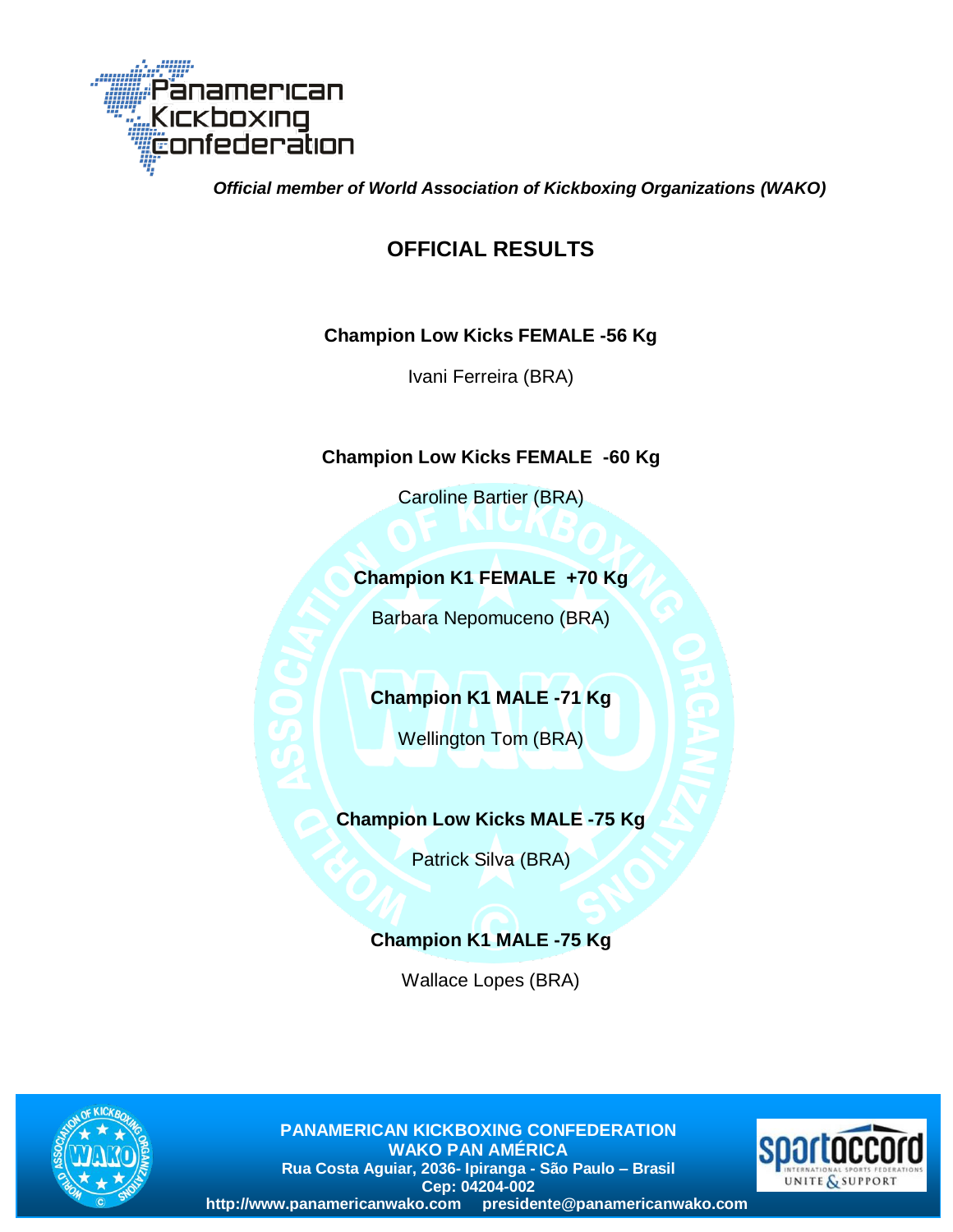

 *Official member of World Association of Kickboxing Organizations (WAKO)*

## **OFFICIAL RESULTS**

#### **Champion Low Kicks FEMALE -56 Kg**

Ivani Ferreira (BRA)

#### **Champion Low Kicks FEMALE -60 Kg**

Caroline Bartier (BRA)

#### **Champion K1 FEMALE +70 Kg**

Barbara Nepomuceno (BRA)

#### **Champion K1 MALE -71 Kg**

Wellington Tom (BRA)

#### **Champion Low Kicks MALE -75 Kg**

Patrick Silva (BRA)

### **Champion K1 MALE -75 Kg**

Wallace Lopes (BRA)



**PANAMERICAN KICKBOXING CONFEDERATION WAKO PAN AMÉRICA Rua Costa Aguiar, 2036- Ipiranga - São Paulo – Brasil Cep: 04204-002 http://www.panamericanwako.com presidente@panamericanwako.com**

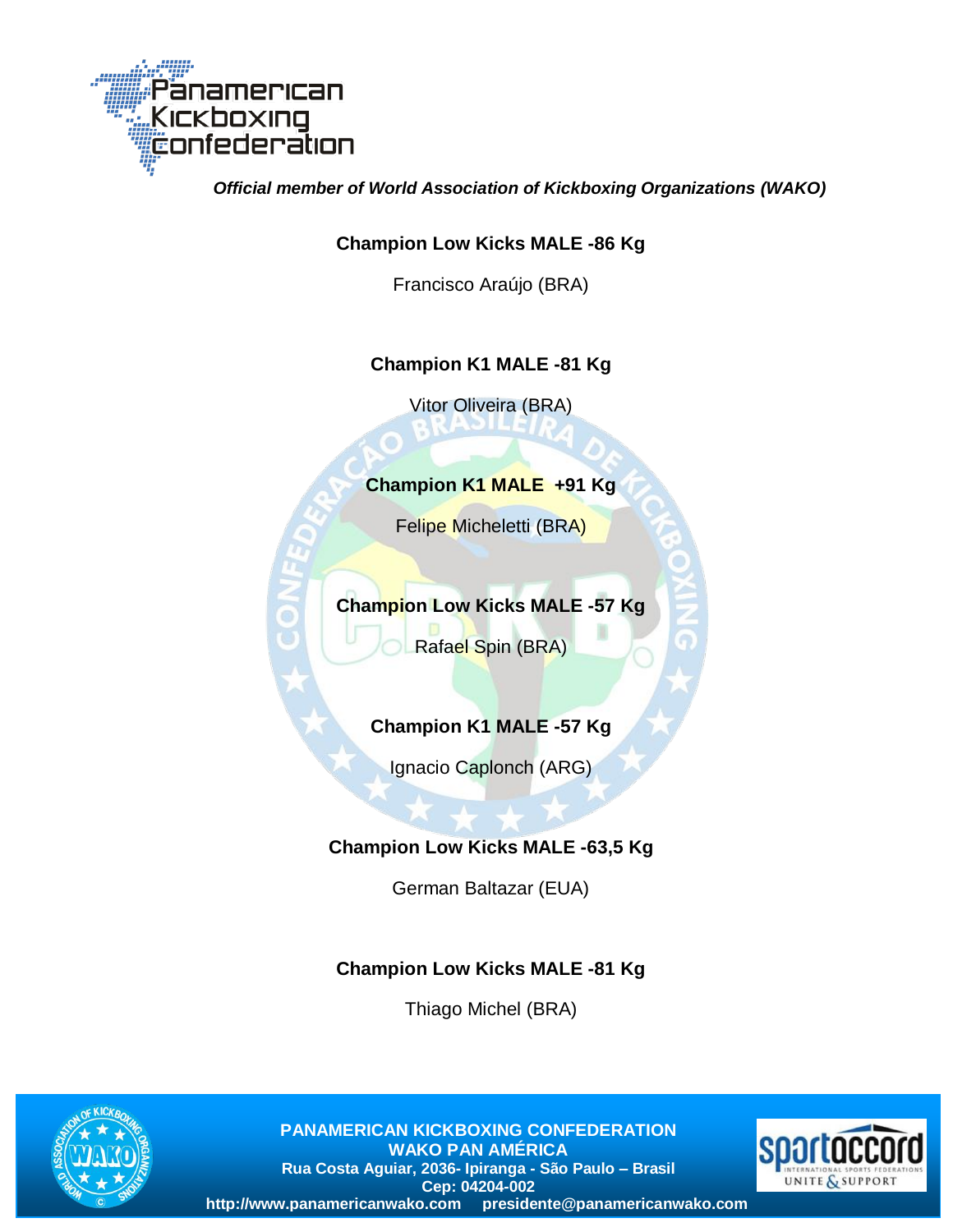

 *Official member of World Association of Kickboxing Organizations (WAKO)*

#### **Champion Low Kicks MALE -86 Kg**

Francisco Araújo (BRA)

#### **Champion K1 MALE -81 Kg**

Vitor Oliveira (BRA)

#### **Champion K1 MALE +91 Kg**

Felipe Micheletti (BRA)

### **Champion Low Kicks MALE -57 Kg**

Rafael Spin (BRA)

#### **Champion K1 MALE -57 Kg**

Ignacio Caplonch (ARG)

#### **Champion Low Kicks MALE -63,5 Kg**

German Baltazar (EUA)

#### **Champion Low Kicks MALE -81 Kg**

Thiago Michel (BRA)



**PANAMERICAN KICKBOXING CONFEDERATION WAKO PAN AMÉRICA Rua Costa Aguiar, 2036- Ipiranga - São Paulo – Brasil Cep: 04204-002 http://www.panamericanwako.com presidente@panamericanwako.com**